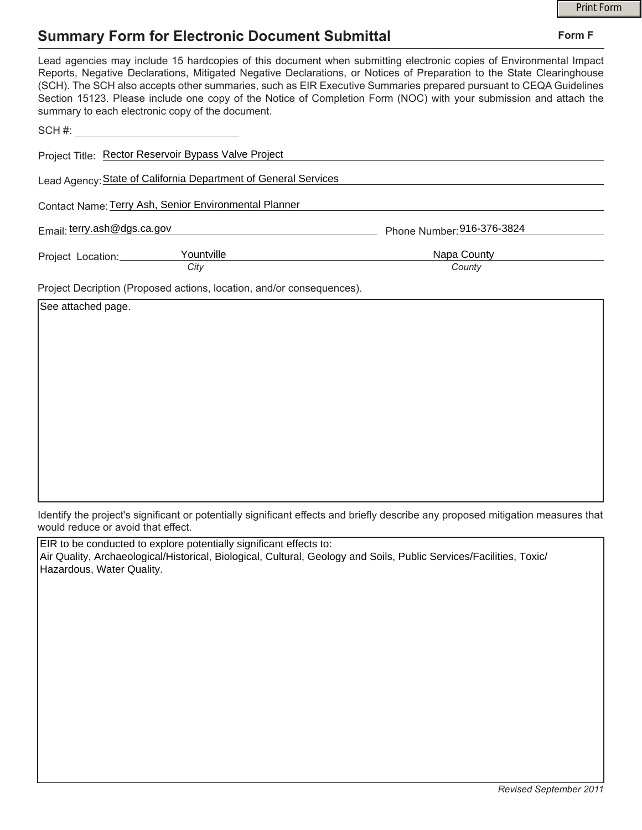## **Summary Form for Electronic Document Submittal**

|                                                                       | <b>Print Form</b>                                                                                                                                                                                                                                                                                                                                                                                                                                                                     |
|-----------------------------------------------------------------------|---------------------------------------------------------------------------------------------------------------------------------------------------------------------------------------------------------------------------------------------------------------------------------------------------------------------------------------------------------------------------------------------------------------------------------------------------------------------------------------|
| <b>Summary Form for Electronic Document Submittal</b>                 | Form F                                                                                                                                                                                                                                                                                                                                                                                                                                                                                |
| summary to each electronic copy of the document.                      | Lead agencies may include 15 hardcopies of this document when submitting electronic copies of Environmental Impact<br>Reports, Negative Declarations, Mitigated Negative Declarations, or Notices of Preparation to the State Clearinghouse<br>(SCH). The SCH also accepts other summaries, such as EIR Executive Summaries prepared pursuant to CEQA Guidelines<br>Section 15123. Please include one copy of the Notice of Completion Form (NOC) with your submission and attach the |
|                                                                       |                                                                                                                                                                                                                                                                                                                                                                                                                                                                                       |
| Project Title: Rector Reservoir Bypass Valve Project                  |                                                                                                                                                                                                                                                                                                                                                                                                                                                                                       |
| Lead Agency: State of California Department of General Services       |                                                                                                                                                                                                                                                                                                                                                                                                                                                                                       |
| Contact Name: Terry Ash, Senior Environmental Planner                 |                                                                                                                                                                                                                                                                                                                                                                                                                                                                                       |
| Email: terry.ash@dgs.ca.gov                                           | Phone Number: 916-376-3824                                                                                                                                                                                                                                                                                                                                                                                                                                                            |
| Yountville<br>Project Location:__________                             | Napa County                                                                                                                                                                                                                                                                                                                                                                                                                                                                           |
| City                                                                  | County                                                                                                                                                                                                                                                                                                                                                                                                                                                                                |
| Project Decription (Proposed actions, location, and/or consequences). |                                                                                                                                                                                                                                                                                                                                                                                                                                                                                       |
| See attached page.                                                    |                                                                                                                                                                                                                                                                                                                                                                                                                                                                                       |

Identify the project's significant or potentially significant effects and briefly describe any proposed mitigation measures that would reduce or avoid that effect.

EIR to be conducted to explore potentially significant effects to: Air Quality, Archaeological/Historical, Biological, Cultural, Geology and Soils, Public Services/Facilities, Toxic/ Hazardous, Water Quality.